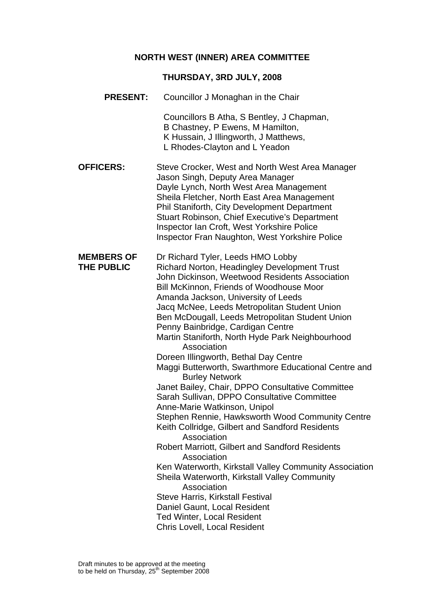### **NORTH WEST (INNER) AREA COMMITTEE**

#### **THURSDAY, 3RD JULY, 2008**

**PRESENT:** Councillor J Monaghan in the Chair

Councillors B Atha, S Bentley, J Chapman, B Chastney, P Ewens, M Hamilton, K Hussain, J Illingworth, J Matthews, L Rhodes-Clayton and L Yeadon

**OFFICERS:** Steve Crocker, West and North West Area Manager Jason Singh, Deputy Area Manager Dayle Lynch, North West Area Management Sheila Fletcher, North East Area Management Phil Staniforth, City Development Department Stuart Robinson, Chief Executive's Department Inspector Ian Croft, West Yorkshire Police Inspector Fran Naughton, West Yorkshire Police

**MEMBERS OF** Dr Richard Tyler, Leeds HMO Lobby **THE PUBLIC** Richard Norton, Headingley Development Trust John Dickinson, Weetwood Residents Association Bill McKinnon, Friends of Woodhouse Moor Amanda Jackson, University of Leeds Jacq McNee, Leeds Metropolitan Student Union Ben McDougall, Leeds Metropolitan Student Union Penny Bainbridge, Cardigan Centre Martin Staniforth, North Hyde Park Neighbourhood Association Doreen Illingworth, Bethal Day Centre Maggi Butterworth, Swarthmore Educational Centre and Burley Network Janet Bailey, Chair, DPPO Consultative Committee Sarah Sullivan, DPPO Consultative Committee Anne-Marie Watkinson, Unipol Stephen Rennie, Hawksworth Wood Community Centre Keith Collridge, Gilbert and Sandford Residents Association Robert Marriott, Gilbert and Sandford Residents Association Ken Waterworth, Kirkstall Valley Community Association Sheila Waterworth, Kirkstall Valley Community Association Steve Harris, Kirkstall Festival Daniel Gaunt, Local Resident Ted Winter, Local Resident Chris Lovell, Local Resident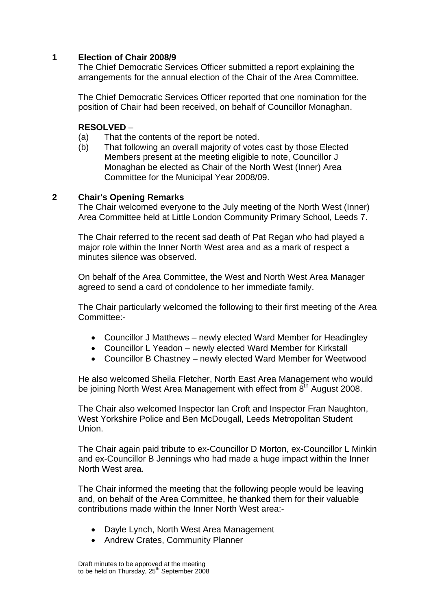### **1 Election of Chair 2008/9**

The Chief Democratic Services Officer submitted a report explaining the arrangements for the annual election of the Chair of the Area Committee.

The Chief Democratic Services Officer reported that one nomination for the position of Chair had been received, on behalf of Councillor Monaghan.

#### **RESOLVED** –

- (a) That the contents of the report be noted.
- (b) That following an overall majority of votes cast by those Elected Members present at the meeting eligible to note, Councillor J Monaghan be elected as Chair of the North West (Inner) Area Committee for the Municipal Year 2008/09.

#### **2 Chair's Opening Remarks**

The Chair welcomed everyone to the July meeting of the North West (Inner) Area Committee held at Little London Community Primary School, Leeds 7.

The Chair referred to the recent sad death of Pat Regan who had played a major role within the Inner North West area and as a mark of respect a minutes silence was observed.

On behalf of the Area Committee, the West and North West Area Manager agreed to send a card of condolence to her immediate family.

The Chair particularly welcomed the following to their first meeting of the Area Committee:-

- Councillor J Matthews newly elected Ward Member for Headingley
- Councillor L Yeadon newly elected Ward Member for Kirkstall
- Councillor B Chastney newly elected Ward Member for Weetwood

He also welcomed Sheila Fletcher, North East Area Management who would be joining North West Area Management with effect from 8<sup>th</sup> August 2008.

The Chair also welcomed Inspector Ian Croft and Inspector Fran Naughton, West Yorkshire Police and Ben McDougall, Leeds Metropolitan Student Union.

The Chair again paid tribute to ex-Councillor D Morton, ex-Councillor L Minkin and ex-Councillor B Jennings who had made a huge impact within the Inner North West area.

The Chair informed the meeting that the following people would be leaving and, on behalf of the Area Committee, he thanked them for their valuable contributions made within the Inner North West area:-

- Dayle Lynch, North West Area Management
- Andrew Crates, Community Planner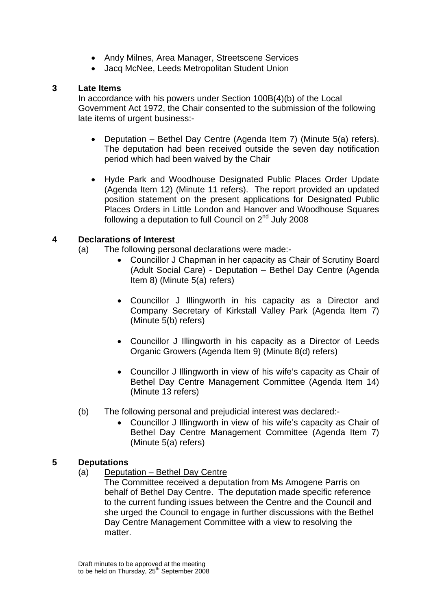- Andy Milnes, Area Manager, Streetscene Services
- Jacq McNee, Leeds Metropolitan Student Union

### **3 Late Items**

In accordance with his powers under Section 100B(4)(b) of the Local Government Act 1972, the Chair consented to the submission of the following late items of urgent business:-

- Deputation Bethel Day Centre (Agenda Item 7) (Minute 5(a) refers). The deputation had been received outside the seven day notification period which had been waived by the Chair
- Hyde Park and Woodhouse Designated Public Places Order Update (Agenda Item 12) (Minute 11 refers). The report provided an updated position statement on the present applications for Designated Public Places Orders in Little London and Hanover and Woodhouse Squares following a deputation to full Council on  $2<sup>nd</sup>$  July 2008

### **4 Declarations of Interest**

- (a) The following personal declarations were made:-
	- Councillor J Chapman in her capacity as Chair of Scrutiny Board (Adult Social Care) - Deputation – Bethel Day Centre (Agenda Item 8) (Minute 5(a) refers)
	- Councillor J Illingworth in his capacity as a Director and Company Secretary of Kirkstall Valley Park (Agenda Item 7) (Minute 5(b) refers)
	- Councillor J Illingworth in his capacity as a Director of Leeds Organic Growers (Agenda Item 9) (Minute 8(d) refers)
	- Councillor J Illingworth in view of his wife's capacity as Chair of Bethel Day Centre Management Committee (Agenda Item 14) (Minute 13 refers)
- (b) The following personal and prejudicial interest was declared:-
	- Councillor J Illingworth in view of his wife's capacity as Chair of Bethel Day Centre Management Committee (Agenda Item 7) (Minute 5(a) refers)

### **5 Deputations**

- (a) Deputation Bethel Day Centre
	- The Committee received a deputation from Ms Amogene Parris on behalf of Bethel Day Centre. The deputation made specific reference to the current funding issues between the Centre and the Council and she urged the Council to engage in further discussions with the Bethel Day Centre Management Committee with a view to resolving the matter.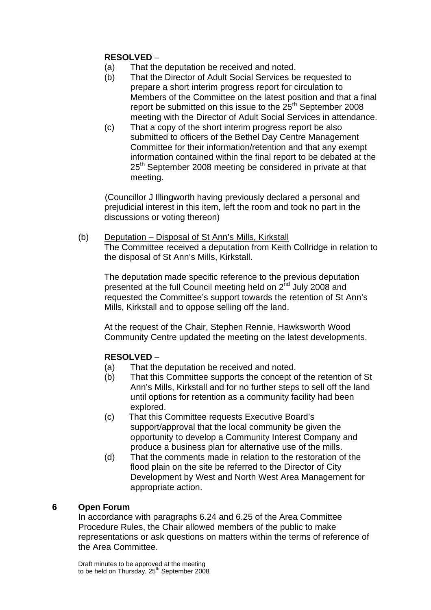# **RESOLVED** –

- (a) That the deputation be received and noted.
- (b) That the Director of Adult Social Services be requested to prepare a short interim progress report for circulation to Members of the Committee on the latest position and that a final report be submitted on this issue to the  $25<sup>th</sup>$  September 2008 meeting with the Director of Adult Social Services in attendance.
- (c) That a copy of the short interim progress report be also submitted to officers of the Bethel Day Centre Management Committee for their information/retention and that any exempt information contained within the final report to be debated at the 25<sup>th</sup> September 2008 meeting be considered in private at that meeting.

 (Councillor J Illingworth having previously declared a personal and prejudicial interest in this item, left the room and took no part in the discussions or voting thereon)

(b) Deputation – Disposal of St Ann's Mills, Kirkstall The Committee received a deputation from Keith Collridge in relation to the disposal of St Ann's Mills, Kirkstall.

The deputation made specific reference to the previous deputation presented at the full Council meeting held on 2<sup>nd</sup> July 2008 and requested the Committee's support towards the retention of St Ann's Mills, Kirkstall and to oppose selling off the land.

At the request of the Chair, Stephen Rennie, Hawksworth Wood Community Centre updated the meeting on the latest developments.

# **RESOLVED** –

- (a) That the deputation be received and noted.
- (b) That this Committee supports the concept of the retention of St Ann's Mills, Kirkstall and for no further steps to sell off the land until options for retention as a community facility had been explored.
- (c) That this Committee requests Executive Board's support/approval that the local community be given the opportunity to develop a Community Interest Company and produce a business plan for alternative use of the mills.
- (d) That the comments made in relation to the restoration of the flood plain on the site be referred to the Director of City Development by West and North West Area Management for appropriate action.

### **6 Open Forum**

In accordance with paragraphs 6.24 and 6.25 of the Area Committee Procedure Rules, the Chair allowed members of the public to make representations or ask questions on matters within the terms of reference of the Area Committee.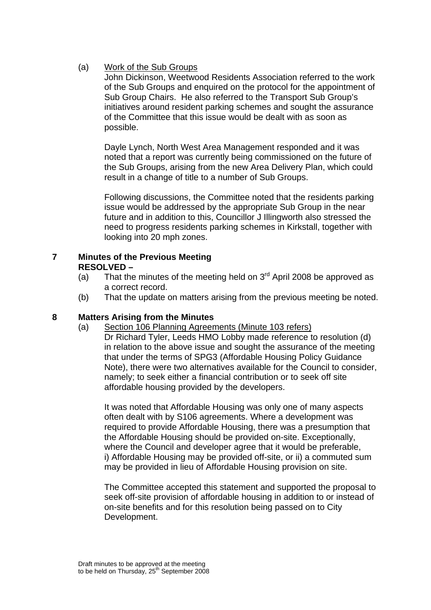### (a) Work of the Sub Groups

John Dickinson, Weetwood Residents Association referred to the work of the Sub Groups and enquired on the protocol for the appointment of Sub Group Chairs. He also referred to the Transport Sub Group's initiatives around resident parking schemes and sought the assurance of the Committee that this issue would be dealt with as soon as possible.

Dayle Lynch, North West Area Management responded and it was noted that a report was currently being commissioned on the future of the Sub Groups, arising from the new Area Delivery Plan, which could result in a change of title to a number of Sub Groups.

Following discussions, the Committee noted that the residents parking issue would be addressed by the appropriate Sub Group in the near future and in addition to this, Councillor J Illingworth also stressed the need to progress residents parking schemes in Kirkstall, together with looking into 20 mph zones.

### **7 Minutes of the Previous Meeting RESOLVED –**

- (a) That the minutes of the meeting held on  $3<sup>rd</sup>$  April 2008 be approved as a correct record.
- (b) That the update on matters arising from the previous meeting be noted.

### **8 Matters Arising from the Minutes**

(a) Section 106 Planning Agreements (Minute 103 refers)

Dr Richard Tyler, Leeds HMO Lobby made reference to resolution (d) in relation to the above issue and sought the assurance of the meeting that under the terms of SPG3 (Affordable Housing Policy Guidance Note), there were two alternatives available for the Council to consider, namely; to seek either a financial contribution or to seek off site affordable housing provided by the developers.

 It was noted that Affordable Housing was only one of many aspects often dealt with by S106 agreements. Where a development was required to provide Affordable Housing, there was a presumption that the Affordable Housing should be provided on-site. Exceptionally, where the Council and developer agree that it would be preferable, i) Affordable Housing may be provided off-site, or ii) a commuted sum may be provided in lieu of Affordable Housing provision on site.

The Committee accepted this statement and supported the proposal to seek off-site provision of affordable housing in addition to or instead of on-site benefits and for this resolution being passed on to City Development.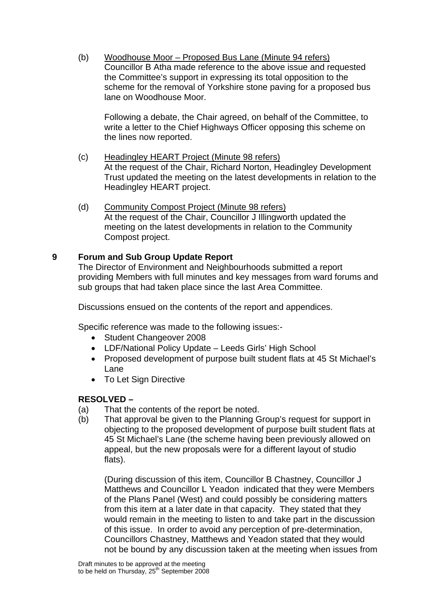(b) Woodhouse Moor – Proposed Bus Lane (Minute 94 refers) Councillor B Atha made reference to the above issue and requested the Committee's support in expressing its total opposition to the scheme for the removal of Yorkshire stone paving for a proposed bus lane on Woodhouse Moor.

Following a debate, the Chair agreed, on behalf of the Committee, to write a letter to the Chief Highways Officer opposing this scheme on the lines now reported.

- (c) Headingley HEART Project (Minute 98 refers) At the request of the Chair, Richard Norton, Headingley Development Trust updated the meeting on the latest developments in relation to the Headingley HEART project.
- (d) Community Compost Project (Minute 98 refers) At the request of the Chair, Councillor J Illingworth updated the meeting on the latest developments in relation to the Community Compost project.

### **9 Forum and Sub Group Update Report**

The Director of Environment and Neighbourhoods submitted a report providing Members with full minutes and key messages from ward forums and sub groups that had taken place since the last Area Committee.

Discussions ensued on the contents of the report and appendices.

Specific reference was made to the following issues:-

- Student Changeover 2008
- LDF/National Policy Update Leeds Girls' High School
- Proposed development of purpose built student flats at 45 St Michael's Lane
- To Let Sign Directive

### **RESOLVED –**

- (a) That the contents of the report be noted.
- (b) That approval be given to the Planning Group's request for support in objecting to the proposed development of purpose built student flats at 45 St Michael's Lane (the scheme having been previously allowed on appeal, but the new proposals were for a different layout of studio flats).

(During discussion of this item, Councillor B Chastney, Councillor J Matthews and Councillor L Yeadon indicated that they were Members of the Plans Panel (West) and could possibly be considering matters from this item at a later date in that capacity. They stated that they would remain in the meeting to listen to and take part in the discussion of this issue. In order to avoid any perception of pre-determination, Councillors Chastney, Matthews and Yeadon stated that they would not be bound by any discussion taken at the meeting when issues from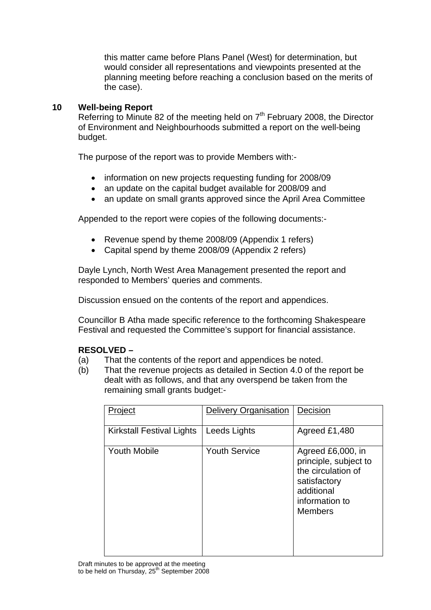this matter came before Plans Panel (West) for determination, but would consider all representations and viewpoints presented at the planning meeting before reaching a conclusion based on the merits of the case).

### **10 Well-being Report**

Referring to Minute 82 of the meeting held on  $7<sup>th</sup>$  February 2008, the Director of Environment and Neighbourhoods submitted a report on the well-being budget.

The purpose of the report was to provide Members with:-

- information on new projects requesting funding for 2008/09
- an update on the capital budget available for 2008/09 and
- an update on small grants approved since the April Area Committee

Appended to the report were copies of the following documents:-

- Revenue spend by theme 2008/09 (Appendix 1 refers)
- Capital spend by theme 2008/09 (Appendix 2 refers)

Dayle Lynch, North West Area Management presented the report and responded to Members' queries and comments.

Discussion ensued on the contents of the report and appendices.

Councillor B Atha made specific reference to the forthcoming Shakespeare Festival and requested the Committee's support for financial assistance.

### **RESOLVED –**

- (a) That the contents of the report and appendices be noted.
- (b) That the revenue projects as detailed in Section 4.0 of the report be dealt with as follows, and that any overspend be taken from the remaining small grants budget:-

| Project                   | Delivery Organisation | Decision                                                                                                                           |
|---------------------------|-----------------------|------------------------------------------------------------------------------------------------------------------------------------|
| Kirkstall Festival Lights | Leeds Lights          | Agreed £1,480                                                                                                                      |
| <b>Youth Mobile</b>       | <b>Youth Service</b>  | Agreed £6,000, in<br>principle, subject to<br>the circulation of<br>satisfactory<br>additional<br>information to<br><b>Members</b> |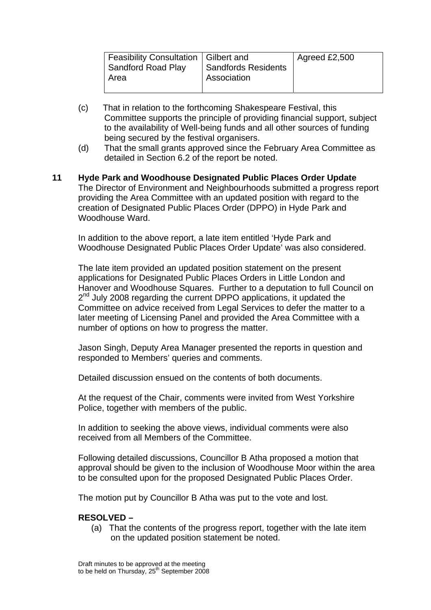| Feasibility Consultation   Gilbert and<br>Sandford Road Play<br>Area | <b>Sandfords Residents</b><br><b>Association</b> | Agreed £2,500 |
|----------------------------------------------------------------------|--------------------------------------------------|---------------|
|                                                                      |                                                  |               |

- (c) That in relation to the forthcoming Shakespeare Festival, this Committee supports the principle of providing financial support, subject to the availability of Well-being funds and all other sources of funding being secured by the festival organisers.
- (d) That the small grants approved since the February Area Committee as detailed in Section 6.2 of the report be noted.
- **11 Hyde Park and Woodhouse Designated Public Places Order Update**  The Director of Environment and Neighbourhoods submitted a progress report providing the Area Committee with an updated position with regard to the creation of Designated Public Places Order (DPPO) in Hyde Park and Woodhouse Ward.

In addition to the above report, a late item entitled 'Hyde Park and Woodhouse Designated Public Places Order Update' was also considered.

The late item provided an updated position statement on the present applications for Designated Public Places Orders in Little London and Hanover and Woodhouse Squares. Further to a deputation to full Council on 2<sup>nd</sup> July 2008 regarding the current DPPO applications, it updated the Committee on advice received from Legal Services to defer the matter to a later meeting of Licensing Panel and provided the Area Committee with a number of options on how to progress the matter.

Jason Singh, Deputy Area Manager presented the reports in question and responded to Members' queries and comments.

Detailed discussion ensued on the contents of both documents.

At the request of the Chair, comments were invited from West Yorkshire Police, together with members of the public.

In addition to seeking the above views, individual comments were also received from all Members of the Committee.

Following detailed discussions, Councillor B Atha proposed a motion that approval should be given to the inclusion of Woodhouse Moor within the area to be consulted upon for the proposed Designated Public Places Order.

The motion put by Councillor B Atha was put to the vote and lost.

### **RESOLVED –**

(a) That the contents of the progress report, together with the late item on the updated position statement be noted.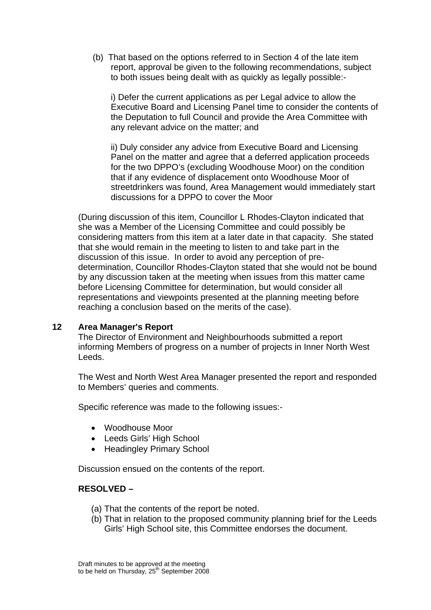(b) That based on the options referred to in Section 4 of the late item report, approval be given to the following recommendations, subject to both issues being dealt with as quickly as legally possible:-

i) Defer the current applications as per Legal advice to allow the Executive Board and Licensing Panel time to consider the contents of the Deputation to full Council and provide the Area Committee with any relevant advice on the matter; and

ii) Duly consider any advice from Executive Board and Licensing Panel on the matter and agree that a deferred application proceeds for the two DPPO's (excluding Woodhouse Moor) on the condition that if any evidence of displacement onto Woodhouse Moor of streetdrinkers was found, Area Management would immediately start discussions for a DPPO to cover the Moor

(During discussion of this item, Councillor L Rhodes-Clayton indicated that she was a Member of the Licensing Committee and could possibly be considering matters from this item at a later date in that capacity. She stated that she would remain in the meeting to listen to and take part in the discussion of this issue. In order to avoid any perception of predetermination, Councillor Rhodes-Clayton stated that she would not be bound by any discussion taken at the meeting when issues from this matter came before Licensing Committee for determination, but would consider all representations and viewpoints presented at the planning meeting before reaching a conclusion based on the merits of the case).

### **12 Area Manager's Report**

The Director of Environment and Neighbourhoods submitted a report informing Members of progress on a number of projects in Inner North West Leeds.

The West and North West Area Manager presented the report and responded to Members' queries and comments.

Specific reference was made to the following issues:-

- Woodhouse Moor
- Leeds Girls' High School
- Headingley Primary School

Discussion ensued on the contents of the report.

#### **RESOLVED –**

- (a) That the contents of the report be noted.
- (b) That in relation to the proposed community planning brief for the Leeds Girls' High School site, this Committee endorses the document.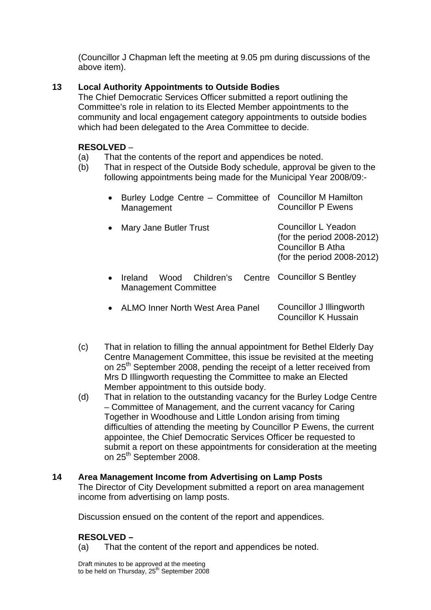(Councillor J Chapman left the meeting at 9.05 pm during discussions of the above item).

# **13 Local Authority Appointments to Outside Bodies**

The Chief Democratic Services Officer submitted a report outlining the Committee's role in relation to its Elected Member appointments to the community and local engagement category appointments to outside bodies which had been delegated to the Area Committee to decide.

# **RESOLVED** –

- (a) That the contents of the report and appendices be noted.
- (b) That in respect of the Outside Body schedule, approval be given to the following appointments being made for the Municipal Year 2008/09:-

| Burley Lodge Centre - Committee of Councillor M Hamilton<br>Management                       | <b>Councillor P Ewens</b>                                                                                             |
|----------------------------------------------------------------------------------------------|-----------------------------------------------------------------------------------------------------------------------|
| Mary Jane Butler Trust                                                                       | <b>Councillor L Yeadon</b><br>(for the period 2008-2012)<br><b>Councillor B Atha</b><br>(for the period $2008-2012$ ) |
| Wood Children's Centre Councillor S Bentley<br><b>Ireland</b><br><b>Management Committee</b> |                                                                                                                       |
| <b>ALMO Inner North West Area Panel</b>                                                      | Councillor J Illingworth<br>Councillor K Hussain                                                                      |

- (c) That in relation to filling the annual appointment for Bethel Elderly Day Centre Management Committee, this issue be revisited at the meeting on 25<sup>th</sup> September 2008, pending the receipt of a letter received from Mrs D Illingworth requesting the Committee to make an Elected Member appointment to this outside body.
- (d) That in relation to the outstanding vacancy for the Burley Lodge Centre – Committee of Management, and the current vacancy for Caring Together in Woodhouse and Little London arising from timing difficulties of attending the meeting by Councillor P Ewens, the current appointee, the Chief Democratic Services Officer be requested to submit a report on these appointments for consideration at the meeting on 25<sup>th</sup> September 2008.

# **14 Area Management Income from Advertising on Lamp Posts**  The Director of City Development submitted a report on area management income from advertising on lamp posts.

Discussion ensued on the content of the report and appendices.

# **RESOLVED –**

(a) That the content of the report and appendices be noted.

Draft minutes to be approved at the meeting to be held on Thursday,  $25<sup>th</sup>$  September 2008